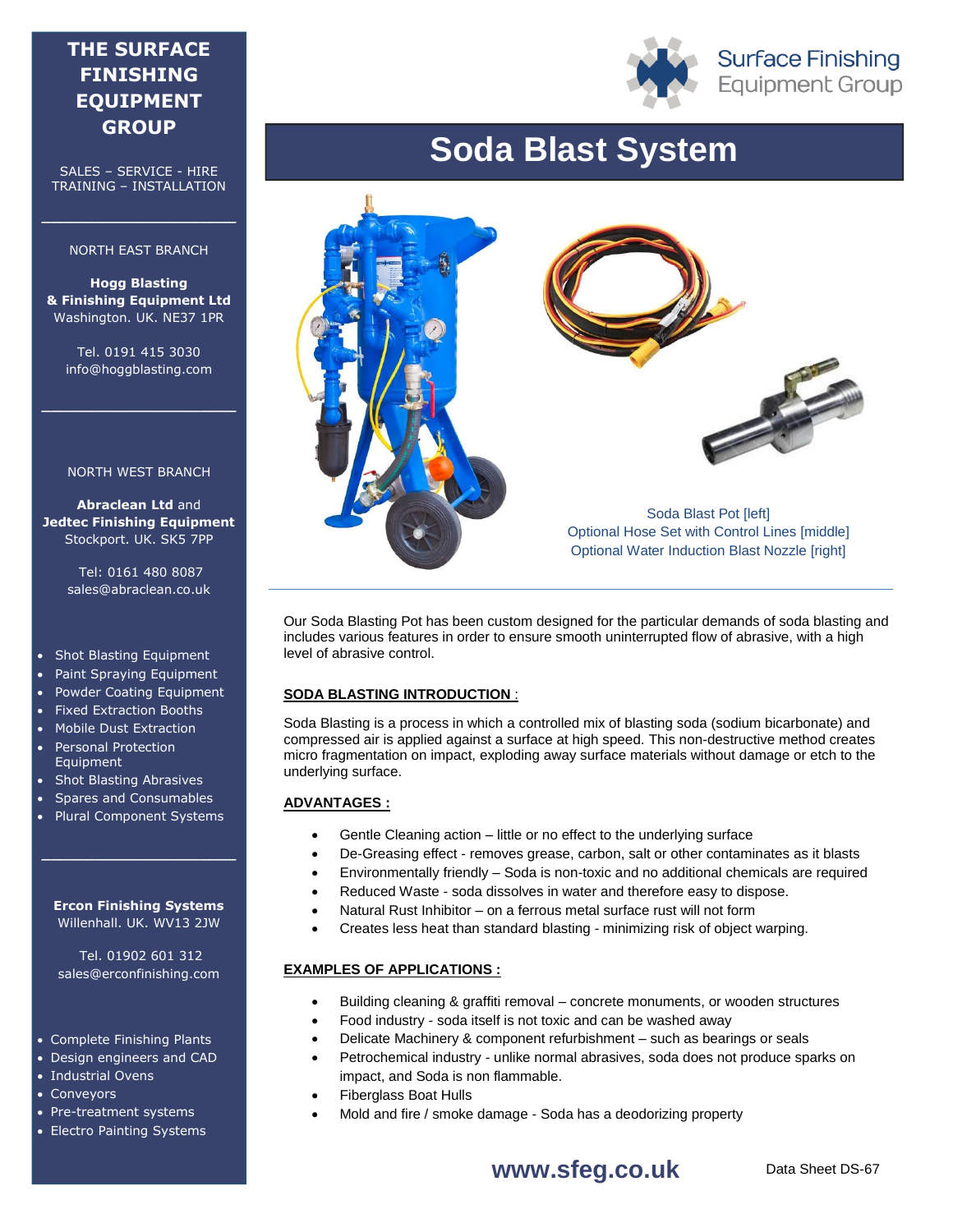# **THE SURFACE FINISHING EQUIPMENT GROUP**

SALES – SERVICE - HIRE TRAINING – INSTALLATION

### NORTH EAST BRANCH

**\_\_\_\_\_\_\_\_\_\_\_\_\_\_\_\_\_\_\_\_\_\_**

**Hogg Blasting & Finishing Equipment Ltd** Washington. UK. NE37 1PR

Tel. 0191 415 3030 info@hoggblasting.com

**\_\_\_\_\_\_\_\_\_\_\_\_\_\_\_\_\_\_\_\_\_\_**

### NORTH WEST BRANCH

**Abraclean Ltd** and **Jedtec Finishing Equipment** Stockport. UK. SK5 7PP

> Tel: 0161 480 8087 sales@abraclean.co.uk

### • Shot Blasting Equipment

- Paint Spraying Equipment
- Powder Coating Equipment
- Fixed Extraction Booths
- Mobile Dust Extraction
- Personal Protection Equipment
- Shot Blasting Abrasives
- Spares and Consumables
- Plural Component Systems

### **Ercon Finishing Systems** Willenhall. UK. WV13 2JW

**\_\_\_\_\_\_\_\_\_\_\_\_\_\_\_\_\_\_\_\_\_\_**

Tel. 01902 601 312 sales@erconfinishing.com

### Complete Finishing Plants

- Design engineers and CAD
- Industrial Ovens
- Conveyors
- Pre-treatment systems
- Electro Painting Systems

# **Soda Blast System**



Our Soda Blasting Pot has been custom designed for the particular demands of soda blasting and includes various features in order to ensure smooth uninterrupted flow of abrasive, with a high level of abrasive control.

### **SODA BLASTING INTRODUCTION** :

Soda Blasting is a process in which a controlled mix of blasting soda (sodium bicarbonate) and compressed air is applied against a surface at high speed. This non-destructive method creates micro fragmentation on impact, exploding away surface materials without damage or etch to the underlying surface.

# **ADVANTAGES :**

- Gentle Cleaning action little or no effect to the underlying surface
- De-Greasing effect removes grease, carbon, salt or other contaminates as it blasts
- Environmentally friendly Soda is non-toxic and no additional chemicals are required
- Reduced Waste soda dissolves in water and therefore easy to dispose.
- Natural Rust Inhibitor on a ferrous metal surface rust will not form
- Creates less heat than standard blasting minimizing risk of object warping.

### **EXAMPLES OF APPLICATIONS :**

- Building cleaning & graffiti removal concrete monuments, or wooden structures
- Food industry soda itself is not toxic and can be washed away
- Delicate Machinery & component refurbishment such as bearings or seals
- Petrochemical industry unlike normal abrasives, soda does not produce sparks on impact, and Soda is non flammable.
- Fiberglass Boat Hulls
- Mold and fire / smoke damage Soda has a deodorizing property